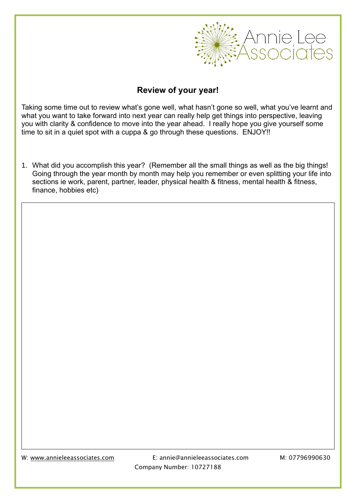

## **Review of your year!**

Taking some time out to review what's gone well, what hasn't gone so well, what you've learnt and what you want to take forward into next year can really help get things into perspective, leaving you with clarity & confidence to move into the year ahead. I really hope you give yourself some time to sit in a quiet spot with a cuppa & go through these questions. ENJOY!!

1. What did you accomplish this year? (Remember all the small things as well as the big things! Going through the year month by month may help you remember or even splitting your life into sections ie work, parent, partner, leader, physical health & fitness, mental health & fitness, finance, hobbies etc)

W: [www.annieleeassociates.com](http://www.annieleeassociates.com/) E: annie@annieleeassociates.com M: 07796990630 Company Number: 10727188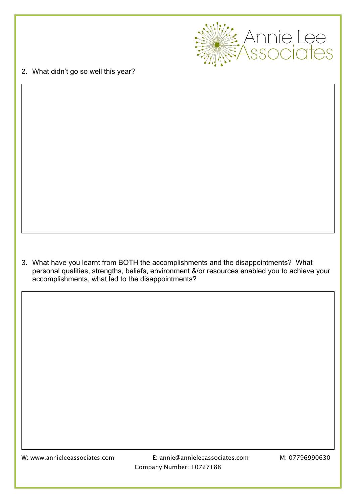

2. What didn't go so well this year?

3. What have you learnt from BOTH the accomplishments and the disappointments? What personal qualities, strengths, beliefs, environment &/or resources enabled you to achieve your accomplishments, what led to the disappointments?

W: [www.annieleeassociates.com](http://www.annieleeassociates.com/) E: annie@annieleeassociates.com M: 07796990630 Company Number: 10727188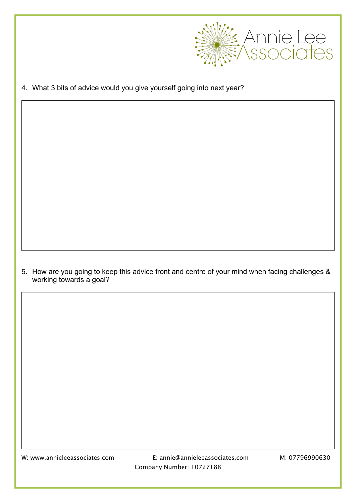

4. What 3 bits of advice would you give yourself going into next year?

5. How are you going to keep this advice front and centre of your mind when facing challenges & working towards a goal?

W: [www.annieleeassociates.com](http://www.annieleeassociates.com/) E: annie@annieleeassociates.com M: 07796990630 Company Number: 10727188